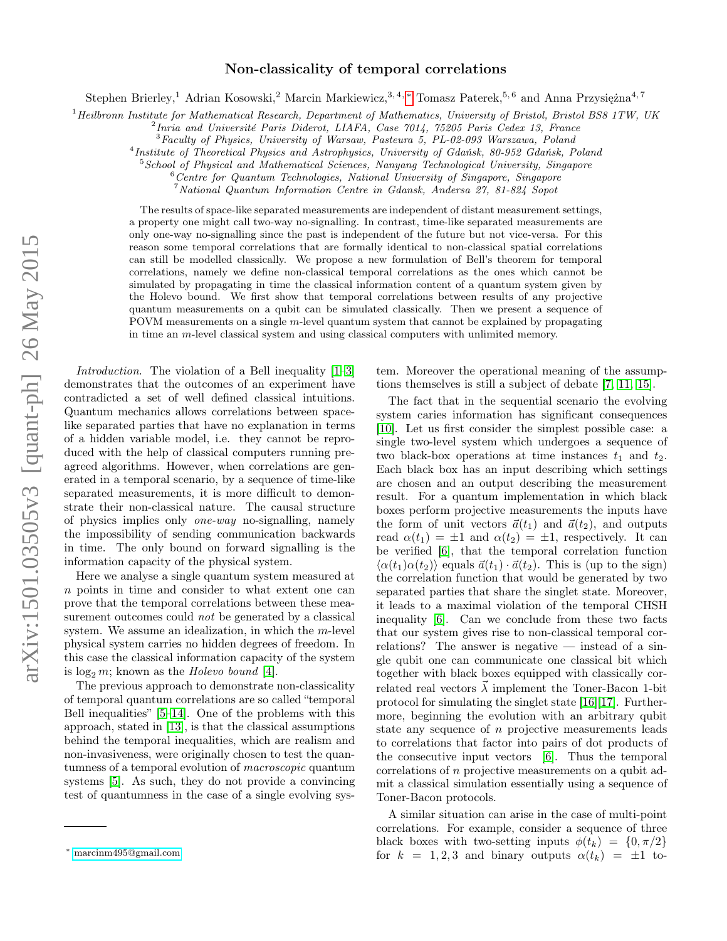## Non-classicality of temporal correlations

Stephen Brierley,<sup>1</sup> Adrian Kosowski,<sup>2</sup> Marcin Markiewicz,<sup>3,4,[∗](#page-0-0)</sup> Tomasz Paterek,<sup>5,6</sup> and Anna Przysiężna<sup>4,7</sup>

 $1$ Heilbronn Institute for Mathematical Research, Department of Mathematics, University of Bristol, Bristol BS8 1TW, UK

<sup>2</sup> Inria and Université Paris Diderot, LIAFA, Case 7014, 75205 Paris Cedex 13, France

<sup>3</sup>Faculty of Physics, University of Warsaw, Pasteura 5, PL-02-093 Warszawa, Poland

4 Institute of Theoretical Physics and Astrophysics, University of Gdańsk, 80-952 Gdańsk, Poland

<sup>5</sup>School of Physical and Mathematical Sciences, Nanyang Technological University, Singapore

 $6$ Centre for Quantum Technologies, National University of Singapore, Singapore

<sup>7</sup>National Quantum Information Centre in Gdansk, Andersa 27, 81-824 Sopot

The results of space-like separated measurements are independent of distant measurement settings, a property one might call two-way no-signalling. In contrast, time-like separated measurements are only one-way no-signalling since the past is independent of the future but not vice-versa. For this reason some temporal correlations that are formally identical to non-classical spatial correlations can still be modelled classically. We propose a new formulation of Bell's theorem for temporal correlations, namely we define non-classical temporal correlations as the ones which cannot be simulated by propagating in time the classical information content of a quantum system given by the Holevo bound. We first show that temporal correlations between results of any projective quantum measurements on a qubit can be simulated classically. Then we present a sequence of POVM measurements on a single  $m$ -level quantum system that cannot be explained by propagating in time an  $m$ -level classical system and using classical computers with unlimited memory.

Introduction. The violation of a Bell inequality [\[1](#page-4-0)[–3\]](#page-4-1) demonstrates that the outcomes of an experiment have contradicted a set of well defined classical intuitions. Quantum mechanics allows correlations between spacelike separated parties that have no explanation in terms of a hidden variable model, i.e. they cannot be reproduced with the help of classical computers running preagreed algorithms. However, when correlations are generated in a temporal scenario, by a sequence of time-like separated measurements, it is more difficult to demonstrate their non-classical nature. The causal structure of physics implies only one-way no-signalling, namely the impossibility of sending communication backwards in time. The only bound on forward signalling is the information capacity of the physical system.

Here we analyse a single quantum system measured at n points in time and consider to what extent one can prove that the temporal correlations between these measurement outcomes could *not* be generated by a classical system. We assume an idealization, in which the  $m$ -level physical system carries no hidden degrees of freedom. In this case the classical information capacity of the system is  $\log_2 m$ ; known as the *Holevo bound* [\[4\]](#page-4-2).

The previous approach to demonstrate non-classicality of temporal quantum correlations are so called "temporal Bell inequalities" [\[5](#page-4-3)[–14\]](#page-5-0). One of the problems with this approach, stated in [\[13\]](#page-5-1), is that the classical assumptions behind the temporal inequalities, which are realism and non-invasiveness, were originally chosen to test the quantumness of a temporal evolution of macroscopic quantum systems [\[5\]](#page-4-3). As such, they do not provide a convincing test of quantumness in the case of a single evolving system. Moreover the operational meaning of the assumptions themselves is still a subject of debate [\[7,](#page-4-4) [11,](#page-5-2) [15\]](#page-5-3).

The fact that in the sequential scenario the evolving system caries information has significant consequences [\[10\]](#page-4-5). Let us first consider the simplest possible case: a single two-level system which undergoes a sequence of two black-box operations at time instances  $t_1$  and  $t_2$ . Each black box has an input describing which settings are chosen and an output describing the measurement result. For a quantum implementation in which black boxes perform projective measurements the inputs have the form of unit vectors  $\vec{a}(t_1)$  and  $\vec{a}(t_2)$ , and outputs read  $\alpha(t_1) = \pm 1$  and  $\alpha(t_2) = \pm 1$ , respectively. It can be verified [\[6\]](#page-4-6), that the temporal correlation function  $\langle \alpha(t_1) \alpha(t_2) \rangle$  equals  $\vec{a}(t_1) \cdot \vec{a}(t_2)$ . This is (up to the sign) the correlation function that would be generated by two separated parties that share the singlet state. Moreover, it leads to a maximal violation of the temporal CHSH inequality [\[6\]](#page-4-6). Can we conclude from these two facts that our system gives rise to non-classical temporal correlations? The answer is negative — instead of a single qubit one can communicate one classical bit which together with black boxes equipped with classically correlated real vectors  $\vec{\lambda}$  implement the Toner-Bacon 1-bit protocol for simulating the singlet state [\[16\]](#page-5-4)[\[17\]](#page-5-5). Furthermore, beginning the evolution with an arbitrary qubit state any sequence of n projective measurements leads to correlations that factor into pairs of dot products of the consecutive input vectors [\[6\]](#page-4-6). Thus the temporal correlations of n projective measurements on a qubit admit a classical simulation essentially using a sequence of Toner-Bacon protocols.

A similar situation can arise in the case of multi-point correlations. For example, consider a sequence of three black boxes with two-setting inputs  $\phi(t_k) = \{0, \pi/2\}$ for  $k = 1, 2, 3$  and binary outputs  $\alpha(t_k) = \pm 1$  to-

<span id="page-0-0"></span><sup>∗</sup> [marcinm495@gmail.com](mailto:marcinm495@gmail.com)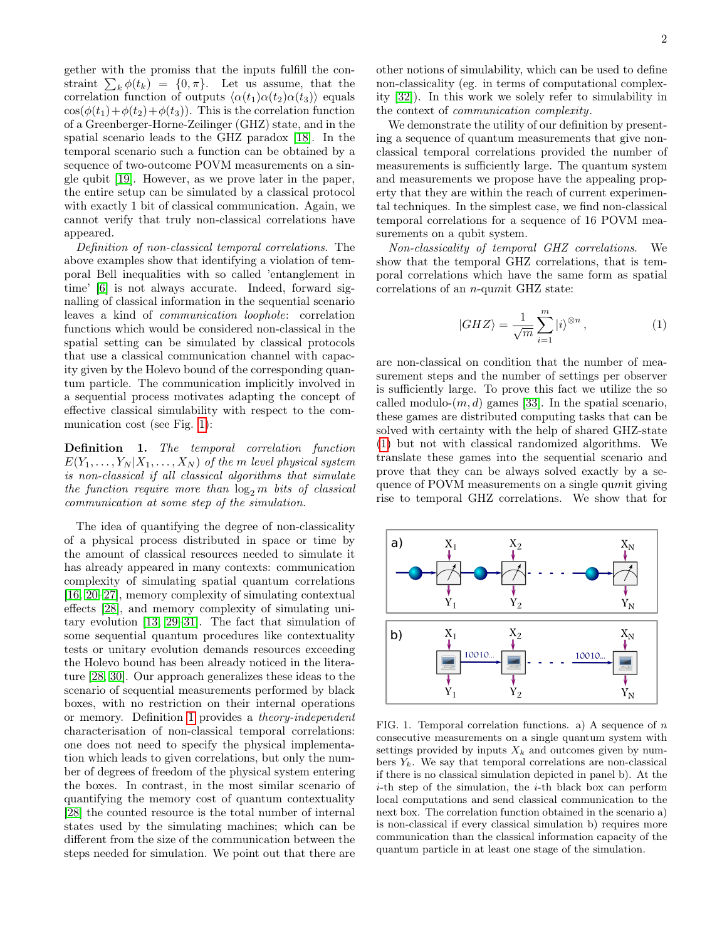gether with the promiss that the inputs fulfill the constraint  $\sum_{k} \phi(t_k) = \{0, \pi\}.$  Let us assume, that the correlation function of outputs  $\langle \alpha(t_1)\alpha(t_2)\alpha(t_3)\rangle$  equals  $\cos(\phi(t_1)+\phi(t_2)+\phi(t_3))$ . This is the correlation function of a Greenberger-Horne-Zeilinger (GHZ) state, and in the spatial scenario leads to the GHZ paradox [\[18\]](#page-5-6). In the temporal scenario such a function can be obtained by a sequence of two-outcome POVM measurements on a single qubit [\[19\]](#page-5-7). However, as we prove later in the paper, the entire setup can be simulated by a classical protocol with exactly 1 bit of classical communication. Again, we cannot verify that truly non-classical correlations have appeared.

Definition of non-classical temporal correlations. The above examples show that identifying a violation of temporal Bell inequalities with so called 'entanglement in time' [\[6\]](#page-4-6) is not always accurate. Indeed, forward signalling of classical information in the sequential scenario leaves a kind of communication loophole: correlation functions which would be considered non-classical in the spatial setting can be simulated by classical protocols that use a classical communication channel with capacity given by the Holevo bound of the corresponding quantum particle. The communication implicitly involved in a sequential process motivates adapting the concept of effective classical simulability with respect to the communication cost (see Fig. [1\)](#page-1-0):

<span id="page-1-1"></span>Definition 1. The temporal correlation function  $E(Y_1, \ldots, Y_N | X_1, \ldots, X_N)$  of the m level physical system is non-classical if all classical algorithms that simulate the function require more than  $\log_2 m$  bits of classical communication at some step of the simulation.

The idea of quantifying the degree of non-classicality of a physical process distributed in space or time by the amount of classical resources needed to simulate it has already appeared in many contexts: communication complexity of simulating spatial quantum correlations [\[16,](#page-5-4) [20](#page-5-8)[–27\]](#page-5-9), memory complexity of simulating contextual effects [\[28\]](#page-5-10), and memory complexity of simulating unitary evolution [\[13,](#page-5-1) [29–](#page-5-11)[31\]](#page-5-12). The fact that simulation of some sequential quantum procedures like contextuality tests or unitary evolution demands resources exceeding the Holevo bound has been already noticed in the literature [\[28,](#page-5-10) [30\]](#page-5-13). Our approach generalizes these ideas to the scenario of sequential measurements performed by black boxes, with no restriction on their internal operations or memory. Definition [1](#page-1-1) provides a theory-independent characterisation of non-classical temporal correlations: one does not need to specify the physical implementation which leads to given correlations, but only the number of degrees of freedom of the physical system entering the boxes. In contrast, in the most similar scenario of quantifying the memory cost of quantum contextuality [\[28\]](#page-5-10) the counted resource is the total number of internal states used by the simulating machines; which can be different from the size of the communication between the steps needed for simulation. We point out that there are

other notions of simulability, which can be used to define non-classicality (eg. in terms of computational complexity [\[32\]](#page-5-14)). In this work we solely refer to simulability in the context of communication complexity.

We demonstrate the utility of our definition by presenting a sequence of quantum measurements that give nonclassical temporal correlations provided the number of measurements is sufficiently large. The quantum system and measurements we propose have the appealing property that they are within the reach of current experimental techniques. In the simplest case, we find non-classical temporal correlations for a sequence of 16 POVM measurements on a qubit system.

Non-classicality of temporal GHZ correlations. We show that the temporal GHZ correlations, that is temporal correlations which have the same form as spatial correlations of an n-qumit GHZ state:

<span id="page-1-2"></span>
$$
|GHZ\rangle = \frac{1}{\sqrt{m}} \sum_{i=1}^{m} |i\rangle^{\otimes n},\qquad(1)
$$

are non-classical on condition that the number of measurement steps and the number of settings per observer is sufficiently large. To prove this fact we utilize the so called modulo- $(m, d)$  games [\[33\]](#page-5-15). In the spatial scenario, these games are distributed computing tasks that can be solved with certainty with the help of shared GHZ-state [\(1\)](#page-1-2) but not with classical randomized algorithms. We translate these games into the sequential scenario and prove that they can be always solved exactly by a sequence of POVM measurements on a single qumit giving rise to temporal GHZ correlations. We show that for



<span id="page-1-0"></span>FIG. 1. Temporal correlation functions. a) A sequence of  $n$ consecutive measurements on a single quantum system with settings provided by inputs  $X_k$  and outcomes given by numbers  $Y_k$ . We say that temporal correlations are non-classical if there is no classical simulation depicted in panel b). At the  $i$ -th step of the simulation, the  $i$ -th black box can perform local computations and send classical communication to the next box. The correlation function obtained in the scenario a) is non-classical if every classical simulation b) requires more communication than the classical information capacity of the quantum particle in at least one stage of the simulation.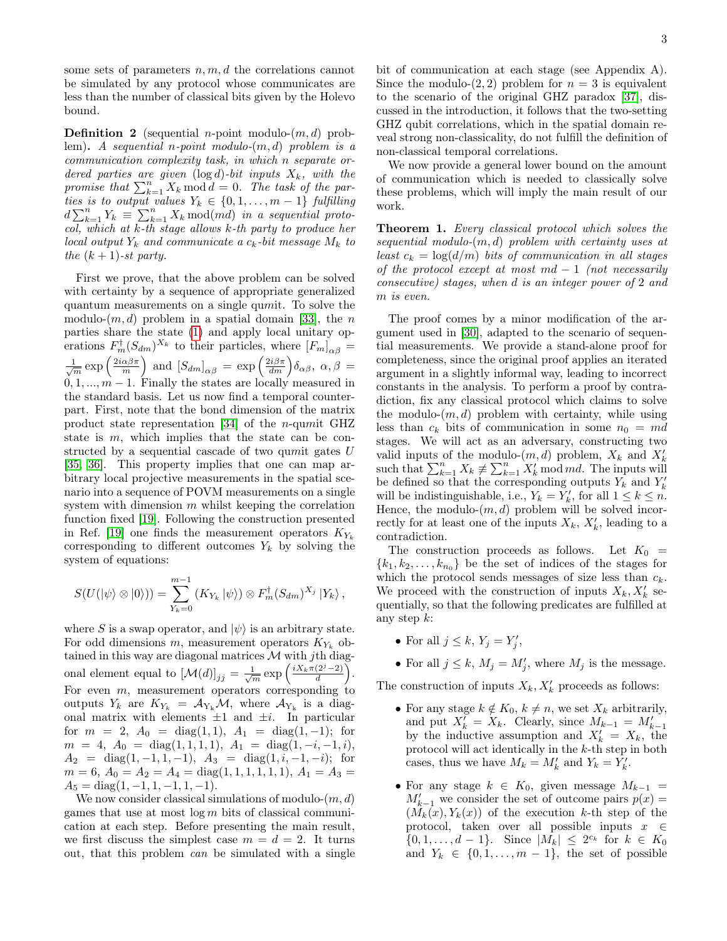some sets of parameters  $n, m, d$  the correlations cannot be simulated by any protocol whose communicates are less than the number of classical bits given by the Holevo bound.

**Definition 2** (sequential *n*-point modulo- $(m, d)$  problem). A sequential n-point modulo- $(m, d)$  problem is a communication complexity task, in which n separate ordered parties are given  $(\log d)$ -bit inputs  $X_k$ , with the promise that  $\sum_{k=1}^{n} X_k \mod d = 0$ . The task of the parties is to output values  $Y_k \in \{0, 1, \ldots, m-1\}$  fulfilling  $d\sum_{k=1}^{n} Y_k \equiv \sum_{k=1}^{n} X_k \mod (md)$  in a sequential protocol, which at k-th stage allows k-th party to produce her local output  $Y_k$  and communicate a  $c_k$ -bit message  $M_k$  to the  $(k + 1)$ -st party.

First we prove, that the above problem can be solved with certainty by a sequence of appropriate generalized quantum measurements on a single qumit. To solve the modulo- $(m, d)$  problem in a spatial domain [\[33\]](#page-5-15), the n parties share the state [\(1\)](#page-1-2) and apply local unitary operations  $F_m^{\dagger}(S_{dm})^{X_k}$  to their particles, where  $[F_m]_{\alpha\beta} =$  $\frac{1}{\sqrt{m}} \exp\left(\frac{2i\alpha\beta\pi}{m}\right)$  and  $[S_{dm}]_{\alpha\beta} = \exp\left(\frac{2i\beta\pi}{dm}\right)\delta_{\alpha\beta}, \alpha, \beta =$  $0, 1, \ldots, m-1$ . Finally the states are locally measured in the standard basis. Let us now find a temporal counterpart. First, note that the bond dimension of the matrix product state representation [\[34\]](#page-5-16) of the n-qumit GHZ state is  $m$ , which implies that the state can be constructed by a sequential cascade of two qumit gates  $U$ [\[35,](#page-5-17) [36\]](#page-5-18). This property implies that one can map arbitrary local projective measurements in the spatial scenario into a sequence of POVM measurements on a single system with dimension  $m$  whilst keeping the correlation function fixed [\[19\]](#page-5-7). Following the construction presented in Ref. [\[19\]](#page-5-7) one finds the measurement operators  $K_{Y_k}$ corresponding to different outcomes  $Y_k$  by solving the system of equations:

$$
S(U(|\psi\rangle \otimes |0\rangle)) = \sum_{Y_k=0}^{m-1} (K_{Y_k} |\psi\rangle) \otimes F_m^{\dagger} (S_{dm})^{X_j} |Y_k\rangle,
$$

where S is a swap operator, and  $|\psi\rangle$  is an arbitrary state. For odd dimensions  $m$ , measurement operators  $K_{Y_k}$  obtained in this way are diagonal matrices  ${\mathcal M}$  with  $j\text{th}$  diagonal element equal to  $\left[\mathcal{M}(d)\right]_{jj} = \frac{1}{\sqrt{m}} \exp\left(\frac{iX_k\pi(2^j-2)}{d}\right)$ . For even  $m$ , measurement operators corresponding to outputs  $Y_k$  are  $K_{Y_k} = \mathcal{A}_{Y_k} \mathcal{M}$ , where  $\mathcal{A}_{Y_k}$  is a diagonal matrix with elements  $\pm 1$  and  $\pm i$ . In particular for  $m = 2$ ,  $A_0 = \text{diag}(1, 1)$ ,  $A_1 = \text{diag}(1, -1)$ ; for  $m = 4$ ,  $A_0 = \text{diag}(1, 1, 1, 1)$ ,  $A_1 = \text{diag}(1, -i, -1, i)$ ,  $A_2 = \text{diag}(1, -1, 1, -1), A_3 = \text{diag}(1, i, -1, -i);$  for  $m = 6, A_0 = A_2 = A_4 = \text{diag}(1, 1, 1, 1, 1, 1), A_1 = A_3 =$  $A_5 = \text{diag}(1, -1, 1, -1, 1, -1).$ 

We now consider classical simulations of modulo- $(m, d)$ games that use at most  $\log m$  bits of classical communication at each step. Before presenting the main result, we first discuss the simplest case  $m = d = 2$ . It turns out, that this problem can be simulated with a single bit of communication at each stage (see Appendix A). Since the modulo- $(2, 2)$  problem for  $n = 3$  is equivalent to the scenario of the original GHZ paradox [\[37\]](#page-5-19), discussed in the introduction, it follows that the two-setting GHZ qubit correlations, which in the spatial domain reveal strong non-classicality, do not fulfill the definition of non-classical temporal correlations.

We now provide a general lower bound on the amount of communication which is needed to classically solve these problems, which will imply the main result of our work.

Theorem 1. Every classical protocol which solves the sequential modulo- $(m, d)$  problem with certainty uses at least  $c_k = \log(d/m)$  bits of communication in all stages of the protocol except at most  $md-1$  (not necessarily consecutive) stages, when d is an integer power of 2 and m is even.

The proof comes by a minor modification of the argument used in [\[30\]](#page-5-13), adapted to the scenario of sequential measurements. We provide a stand-alone proof for completeness, since the original proof applies an iterated argument in a slightly informal way, leading to incorrect constants in the analysis. To perform a proof by contradiction, fix any classical protocol which claims to solve the modulo- $(m, d)$  problem with certainty, while using less than  $c_k$  bits of communication in some  $n_0 = md$ stages. We will act as an adversary, constructing two valid inputs of the modulo- $(m, d)$  problem,  $X_k$  and  $X'_k$ such that  $\sum_{k=1}^{n} X_k \not\equiv \sum_{k=1}^{n} X'_k \mod{md}$ . The inputs will be defined so that the corresponding outputs  $Y_k$  and  $Y'_k$ will be indistinguishable, i.e.,  $Y_k = Y'_k$ , for all  $1 \leq k \leq n$ . Hence, the modulo- $(m, d)$  problem will be solved incorrectly for at least one of the inputs  $X_k$ ,  $X'_k$ , leading to a contradiction.

The construction proceeds as follows. Let  $K_0 =$  ${k_1, k_2, \ldots, k_{n_0}}$  be the set of indices of the stages for which the protocol sends messages of size less than  $c_k$ . We proceed with the construction of inputs  $X_k, X'_k$  sequentially, so that the following predicates are fulfilled at any step  $k$ :

- For all  $j \leq k$ ,  $Y_j = Y'_j$ ,
- For all  $j \leq k$ ,  $M_j = M'_j$ , where  $M_j$  is the message.

The construction of inputs  $X_k, X'_k$  proceeds as follows:

- For any stage  $k \notin K_0$ ,  $k \neq n$ , we set  $X_k$  arbitrarily, and put  $X'_k = X_k$ . Clearly, since  $M_{k-1} = M'_{k-1}$ by the inductive assumption and  $X'_k = X_k$ , the protocol will act identically in the k-th step in both cases, thus we have  $M_k = M'_k$  and  $Y_k = Y'_k$ .
- For any stage  $k \in K_0$ , given message  $M_{k-1}$  =  $M'_{k-1}$  we consider the set of outcome pairs  $p(x) =$  $(M_k(x), Y_k(x))$  of the execution k-th step of the protocol, taken over all possible inputs  $x \in$  $\{0, 1, \ldots, d-1\}.$  Since  $|M_k| \leq 2^{c_k}$  for  $k \in K_0$ and  $Y_k \in \{0, 1, \ldots, m-1\}$ , the set of possible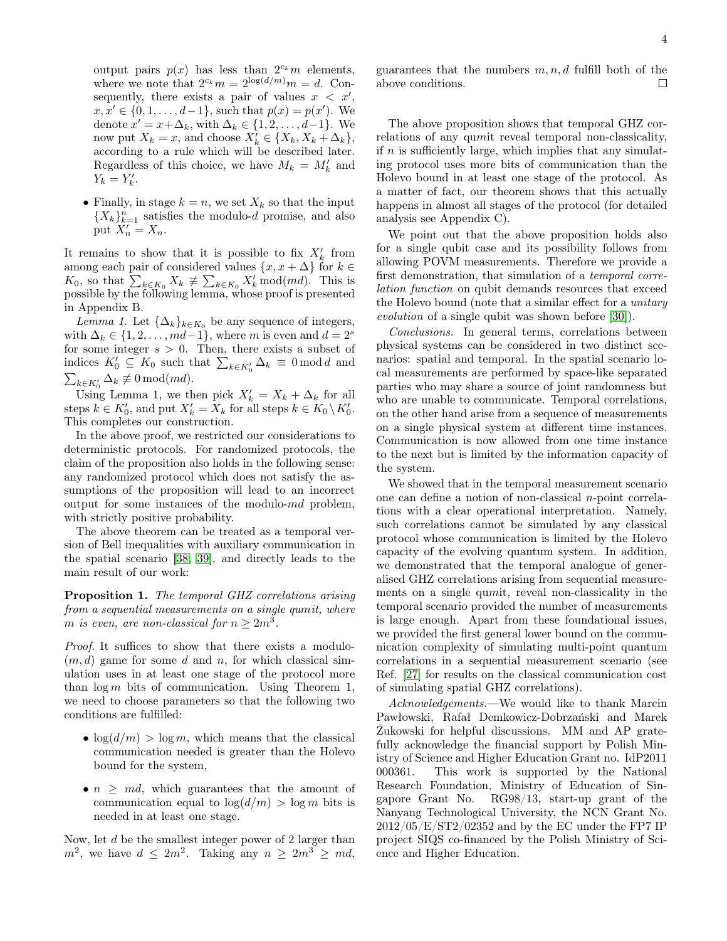output pairs  $p(x)$  has less than  $2^{c_k}m$  elements, where we note that  $2^{c_k}m = 2^{\log(d/m)}m = d$ . Consequently, there exists a pair of values  $x < x'$ ,  $x, x' \in \{0, 1, \ldots, d-1\}$ , such that  $p(x) = p(x')$ . We denote  $x' = x + \Delta_k$ , with  $\Delta_k \in \{1, 2, \ldots, d-1\}$ . We now put  $X_k = x$ , and choose  $X_k^j \in \{X_k, X_k + \Delta_k\},\$ according to a rule which will be described later. Regardless of this choice, we have  $M_k = M'_k$  and  $Y_k = Y_k'.$ 

• Finally, in stage  $k = n$ , we set  $X_k$  so that the input  ${X_k}_{k=1}^n$  satisfies the modulo-d promise, and also put  $\widetilde{X}_n' = X_n$ .

It remains to show that it is possible to fix  $X'_k$  from among each pair of considered values  $\{x, x + \Delta\}$  for  $k \in$  $K_0$ , so that  $\sum_{k \in K_0} X_k \not\equiv \sum_{k \in K_0} X'_k \bmod(md)$ . This is possible by the following lemma, whose proof is presented in Appendix B.

Lemma 1. Let  $\{\Delta_k\}_{k\in K_0}$  be any sequence of integers, with  $\Delta_k \in \{1, 2, \ldots, md-1\}$ , where m is even and  $d = 2<sup>s</sup>$ for some integer  $s > 0$ . Then, there exists a subset of indices  $K'_0 \subseteq K_0$  such that  $\sum_{k \in K'_0} \Delta_k \equiv 0 \mod d$  and  $\sum_{k \in K'_0} \Delta_k \not\equiv 0 \mod (md).$ 

Using Lemma 1, we then pick  $X'_k = X_k + \Delta_k$  for all steps  $k \in K'_0$ , and put  $X'_k = X_k$  for all steps  $k \in K_0 \setminus K'_0$ . This completes our construction.

In the above proof, we restricted our considerations to deterministic protocols. For randomized protocols, the claim of the proposition also holds in the following sense: any randomized protocol which does not satisfy the assumptions of the proposition will lead to an incorrect output for some instances of the modulo-md problem, with strictly positive probability.

The above theorem can be treated as a temporal version of Bell inequalities with auxiliary communication in the spatial scenario [\[38,](#page-5-20) [39\]](#page-5-21), and directly leads to the main result of our work:

Proposition 1. The temporal GHZ correlations arising from a sequential measurements on a single qumit, where m is even, are non-classical for  $n \geq 2m^3$ .

Proof. It suffices to show that there exists a modulo-  $(m, d)$  game for some d and n, for which classical simulation uses in at least one stage of the protocol more than  $\log m$  bits of communication. Using Theorem 1, we need to choose parameters so that the following two conditions are fulfilled:

- $\log(d/m) > \log m$ , which means that the classical communication needed is greater than the Holevo bound for the system,
- $n \geq md$ , which guarantees that the amount of communication equal to  $\log(d/m) > \log m$  bits is needed in at least one stage.

Now, let  $d$  be the smallest integer power of 2 larger than  $m^2$ , we have  $d \leq 2m^2$ . Taking any  $n \geq 2m^3 \geq md$ , guarantees that the numbers  $m, n, d$  fulfill both of the above conditions. П

The above proposition shows that temporal GHZ correlations of any qumit reveal temporal non-classicality, if  $n$  is sufficiently large, which implies that any simulating protocol uses more bits of communication than the Holevo bound in at least one stage of the protocol. As a matter of fact, our theorem shows that this actually happens in almost all stages of the protocol (for detailed analysis see Appendix C).

We point out that the above proposition holds also for a single qubit case and its possibility follows from allowing POVM measurements. Therefore we provide a first demonstration, that simulation of a *temporal corre*lation function on qubit demands resources that exceed the Holevo bound (note that a similar effect for a unitary evolution of a single qubit was shown before [\[30\]](#page-5-13)).

Conclusions. In general terms, correlations between physical systems can be considered in two distinct scenarios: spatial and temporal. In the spatial scenario local measurements are performed by space-like separated parties who may share a source of joint randomness but who are unable to communicate. Temporal correlations, on the other hand arise from a sequence of measurements on a single physical system at different time instances. Communication is now allowed from one time instance to the next but is limited by the information capacity of the system.

We showed that in the temporal measurement scenario one can define a notion of non-classical n-point correlations with a clear operational interpretation. Namely, such correlations cannot be simulated by any classical protocol whose communication is limited by the Holevo capacity of the evolving quantum system. In addition, we demonstrated that the temporal analogue of generalised GHZ correlations arising from sequential measurements on a single qumit, reveal non-classicality in the temporal scenario provided the number of measurements is large enough. Apart from these foundational issues, we provided the first general lower bound on the communication complexity of simulating multi-point quantum correlations in a sequential measurement scenario (see Ref. [\[27\]](#page-5-9) for results on the classical communication cost of simulating spatial GHZ correlations).

Acknowledgements.—We would like to thank Marcin Pawłowski, Rafał Demkowicz-Dobrzański and Marek Żukowski for helpful discussions. MM and AP gratefully acknowledge the financial support by Polish Ministry of Science and Higher Education Grant no. IdP2011 000361. This work is supported by the National Research Foundation, Ministry of Education of Singapore Grant No. RG98/13, start-up grant of the Nanyang Technological University, the NCN Grant No.  $2012/05/E/ST2/02352$  and by the EC under the FP7 IP project SIQS co-financed by the Polish Ministry of Science and Higher Education.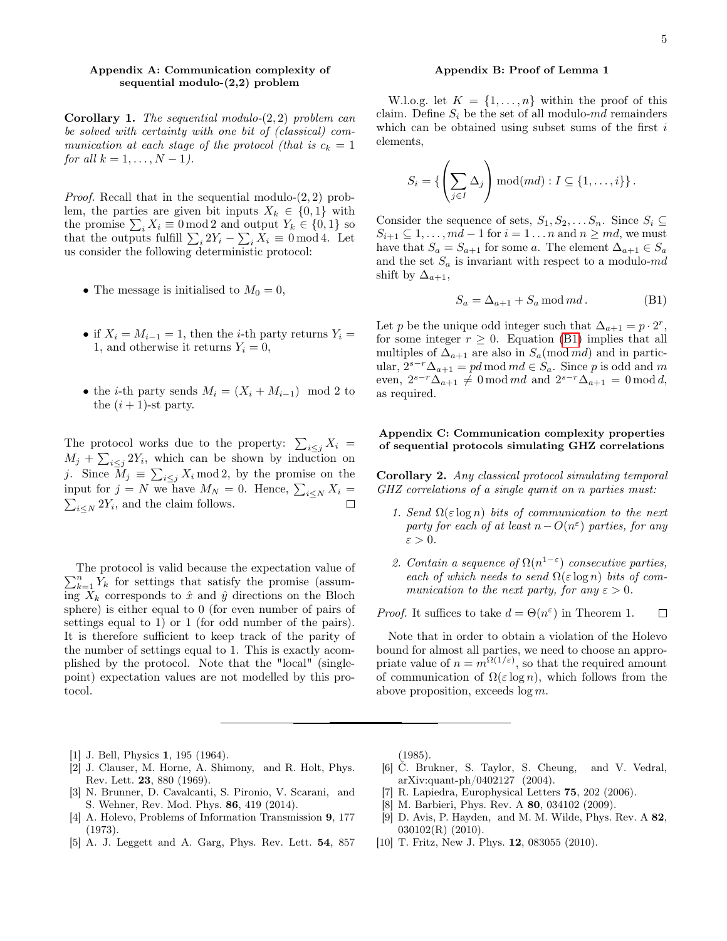## Appendix A: Communication complexity of sequential modulo-(2,2) problem

**Corollary 1.** The sequential modulo- $(2, 2)$  problem can be solved with certainty with one bit of (classical) communication at each stage of the protocol (that is  $c_k = 1$ ) for all  $k = 1, \ldots, N - 1$ .

Proof. Recall that in the sequential modulo-(2, 2) problem, the parties are given bit inputs  $X_k \in \{0,1\}$  with the promise  $\sum_i X_i \equiv 0 \mod 2$  and output  $Y_k \in \{0, 1\}$  so that the outputs fulfill  $\sum_i 2Y_i - \sum_i X_i \equiv 0 \mod 4$ . Let us consider the following deterministic protocol:

- The message is initialised to  $M_0 = 0$ ,
- if  $X_i = M_{i-1} = 1$ , then the *i*-th party returns  $Y_i =$ 1, and otherwise it returns  $Y_i = 0$ ,
- the *i*-th party sends  $M_i = (X_i + M_{i-1}) \mod 2$  to the  $(i + 1)$ -st party.

The protocol works due to the property:  $\sum_{i\leq j} X_i$  =  $M_j + \sum_{i \leq j} 2Y_i$ , which can be shown by induction on j. Since  $M_j \equiv \sum_{i \leq j} X_i \mod 2$ , by the promise on the input for  $j = N$  we have  $M_N = 0$ . Hence,  $\sum_{i \le N} X_i =$  $\sum_{i\leq N} 2Y_i$ , and the claim follows.  $\Box$ 

 $\sum_{k=1}^{n} Y_k$  for settings that satisfy the promise (assum-The protocol is valid because the expectation value of ing  $X_k$  corresponds to  $\hat{x}$  and  $\hat{y}$  directions on the Bloch sphere) is either equal to 0 (for even number of pairs of settings equal to 1) or 1 (for odd number of the pairs). It is therefore sufficient to keep track of the parity of the number of settings equal to 1. This is exactly acomplished by the protocol. Note that the "local" (singlepoint) expectation values are not modelled by this protocol.

- <span id="page-4-0"></span>[1] J. Bell, Physics **1**, 195 (1964).
- [2] J. Clauser, M. Horne, A. Shimony, and R. Holt, Phys. Rev. Lett. 23, 880 (1969).
- <span id="page-4-1"></span>[3] N. Brunner, D. Cavalcanti, S. Pironio, V. Scarani, and S. Wehner, Rev. Mod. Phys. 86, 419 (2014).
- <span id="page-4-2"></span>[4] A. Holevo, Problems of Information Transmission 9, 177 (1973).
- <span id="page-4-3"></span>[5] A. J. Leggett and A. Garg, Phys. Rev. Lett. 54, 857

## Appendix B: Proof of Lemma 1

W.l.o.g. let  $K = \{1, \ldots, n\}$  within the proof of this claim. Define  $S_i$  be the set of all modulo-md remainders which can be obtained using subset sums of the first  $i$ elements,

$$
S_i = \left\{ \left( \sum_{j \in I} \Delta_j \right) \bmod(m d) : I \subseteq \{1, \ldots, i\} \right\}.
$$

Consider the sequence of sets,  $S_1, S_2, \ldots S_n$ . Since  $S_i \subseteq$  $S_{i+1} \subseteq 1, \ldots, md-1$  for  $i=1 \ldots n$  and  $n \geq md$ , we must have that  $S_a = S_{a+1}$  for some a. The element  $\Delta_{a+1} \in S_a$ and the set  $S_a$  is invariant with respect to a modulo- $md$ shift by  $\Delta_{a+1}$ ,

<span id="page-4-7"></span>
$$
S_a = \Delta_{a+1} + S_a \mod{md} \,.
$$
 (B1)

Let p be the unique odd integer such that  $\Delta_{a+1} = p \cdot 2^r$ , for some integer  $r \geq 0$ . Equation [\(B1\)](#page-4-7) implies that all multiples of  $\Delta_{a+1}$  are also in  $S_a \pmod{md}$  and in particular,  $2^{s-r}\Delta_{a+1} = pd \mod md \in S_a$ . Since p is odd and m even,  $2^{s-r}\Delta_{a+1} \neq 0 \mod md$  and  $2^{s-r}\Delta_{a+1} = 0 \mod d$ , as required.

## Appendix C: Communication complexity properties of sequential protocols simulating GHZ correlations

Corollary 2. Any classical protocol simulating temporal GHZ correlations of a single qumit on n parties must:

- 1. Send  $\Omega(\varepsilon \log n)$  bits of communication to the next party for each of at least  $n-O(n^{\epsilon})$  parties, for any  $\varepsilon > 0$ .
- 2. Contain a sequence of  $\Omega(n^{1-\epsilon})$  consecutive parties, each of which needs to send  $\Omega(\varepsilon \log n)$  bits of communication to the next party, for any  $\varepsilon > 0$ .

*Proof.* It suffices to take  $d = \Theta(n^{\epsilon})$  in Theorem 1.  $\Box$ 

Note that in order to obtain a violation of the Holevo bound for almost all parties, we need to choose an appropriate value of  $n = m^{\Omega(1/\varepsilon)}$ , so that the required amount of communication of  $\Omega(\varepsilon \log n)$ , which follows from the above proposition, exceeds log m.

(1985).

- <span id="page-4-6"></span>[6] Č. Brukner, S. Taylor, S. Cheung, and V. Vedral, arXiv:quant-ph/0402127 (2004).
- <span id="page-4-4"></span>[7] R. Lapiedra, Europhysical Letters 75, 202 (2006).
- [8] M. Barbieri, Phys. Rev. A 80, 034102 (2009).
- [9] D. Avis, P. Hayden, and M. M. Wilde, Phys. Rev. A 82, 030102(R) (2010).
- <span id="page-4-5"></span>[10] T. Fritz, New J. Phys. **12**, 083055 (2010).